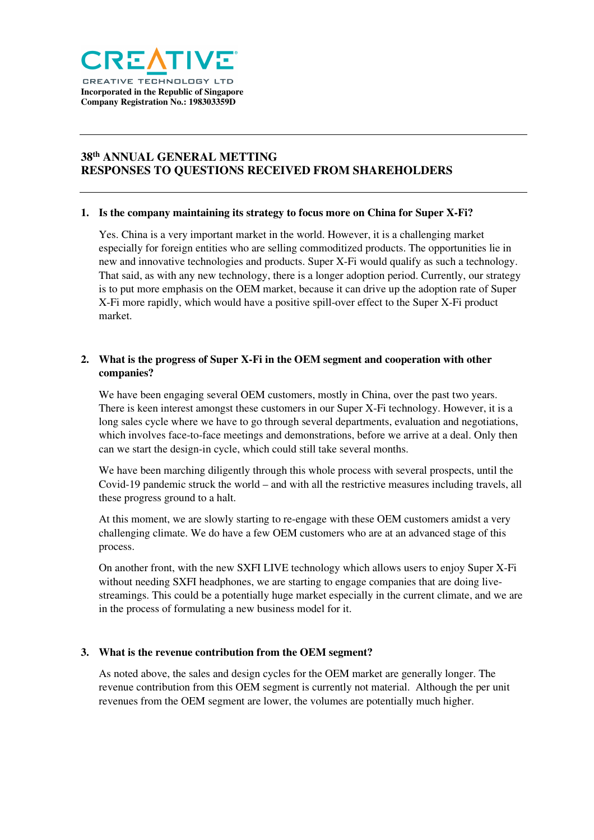

# **38th ANNUAL GENERAL METTING RESPONSES TO QUESTIONS RECEIVED FROM SHAREHOLDERS**

#### **1. Is the company maintaining its strategy to focus more on China for Super X-Fi?**

Yes. China is a very important market in the world. However, it is a challenging market especially for foreign entities who are selling commoditized products. The opportunities lie in new and innovative technologies and products. Super X-Fi would qualify as such a technology. That said, as with any new technology, there is a longer adoption period. Currently, our strategy is to put more emphasis on the OEM market, because it can drive up the adoption rate of Super X-Fi more rapidly, which would have a positive spill-over effect to the Super X-Fi product market.

## **2. What is the progress of Super X-Fi in the OEM segment and cooperation with other companies?**

We have been engaging several OEM customers, mostly in China, over the past two years. There is keen interest amongst these customers in our Super X-Fi technology. However, it is a long sales cycle where we have to go through several departments, evaluation and negotiations, which involves face-to-face meetings and demonstrations, before we arrive at a deal. Only then can we start the design-in cycle, which could still take several months.

We have been marching diligently through this whole process with several prospects, until the Covid-19 pandemic struck the world – and with all the restrictive measures including travels, all these progress ground to a halt.

At this moment, we are slowly starting to re-engage with these OEM customers amidst a very challenging climate. We do have a few OEM customers who are at an advanced stage of this process.

On another front, with the new SXFI LIVE technology which allows users to enjoy Super X-Fi without needing SXFI headphones, we are starting to engage companies that are doing livestreamings. This could be a potentially huge market especially in the current climate, and we are in the process of formulating a new business model for it.

#### **3. What is the revenue contribution from the OEM segment?**

As noted above, the sales and design cycles for the OEM market are generally longer. The revenue contribution from this OEM segment is currently not material. Although the per unit revenues from the OEM segment are lower, the volumes are potentially much higher.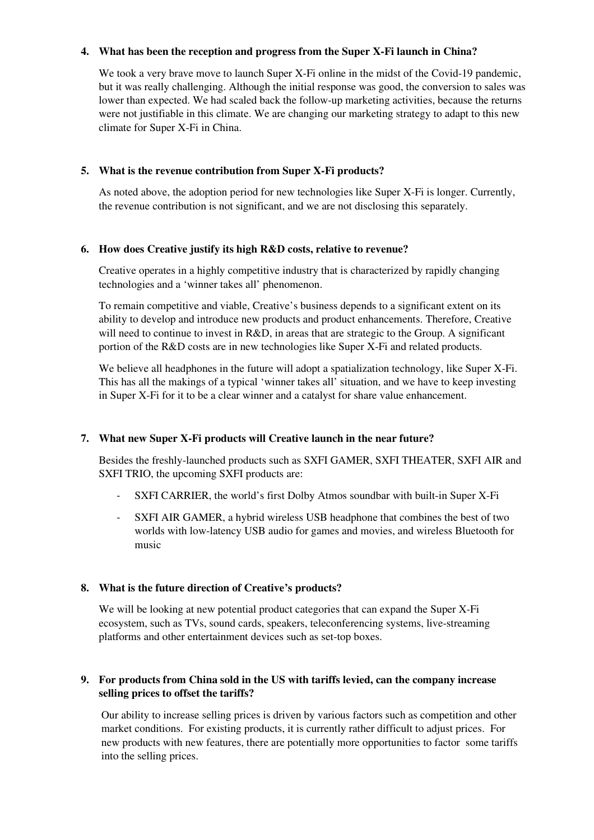#### **4. What has been the reception and progress from the Super X-Fi launch in China?**

We took a very brave move to launch Super X-Fi online in the midst of the Covid-19 pandemic, but it was really challenging. Although the initial response was good, the conversion to sales was lower than expected. We had scaled back the follow-up marketing activities, because the returns were not justifiable in this climate. We are changing our marketing strategy to adapt to this new climate for Super X-Fi in China.

#### **5. What is the revenue contribution from Super X-Fi products?**

As noted above, the adoption period for new technologies like Super X-Fi is longer. Currently, the revenue contribution is not significant, and we are not disclosing this separately.

#### **6. How does Creative justify its high R&D costs, relative to revenue?**

Creative operates in a highly competitive industry that is characterized by rapidly changing technologies and a 'winner takes all' phenomenon.

To remain competitive and viable, Creative's business depends to a significant extent on its ability to develop and introduce new products and product enhancements. Therefore, Creative will need to continue to invest in R&D, in areas that are strategic to the Group. A significant portion of the R&D costs are in new technologies like Super X-Fi and related products.

We believe all headphones in the future will adopt a spatialization technology, like Super X-Fi. This has all the makings of a typical 'winner takes all' situation, and we have to keep investing in Super X-Fi for it to be a clear winner and a catalyst for share value enhancement.

## **7. What new Super X-Fi products will Creative launch in the near future?**

Besides the freshly-launched products such as SXFI GAMER, SXFI THEATER, SXFI AIR and SXFI TRIO, the upcoming SXFI products are:

- SXFI CARRIER, the world's first Dolby Atmos soundbar with built-in Super X-Fi
- SXFI AIR GAMER, a hybrid wireless USB headphone that combines the best of two worlds with low-latency USB audio for games and movies, and wireless Bluetooth for music

## **8. What is the future direction of Creative's products?**

We will be looking at new potential product categories that can expand the Super X-Fi ecosystem, such as TVs, sound cards, speakers, teleconferencing systems, live-streaming platforms and other entertainment devices such as set-top boxes.

## **9. For products from China sold in the US with tariffs levied, can the company increase selling prices to offset the tariffs?**

Our ability to increase selling prices is driven by various factors such as competition and other market conditions. For existing products, it is currently rather difficult to adjust prices. For new products with new features, there are potentially more opportunities to factor some tariffs into the selling prices.